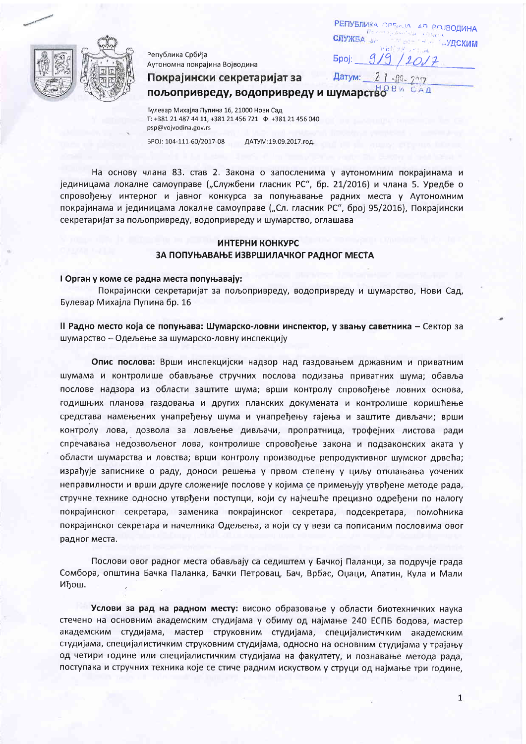

Република Србија Аутономна покрајина Војводина

**PENYSNUKA** CREWJA AD R СЛУЖБА **УПСКИМ**  $919/2017$ **Spoj:** 

Датум:

Покрајински секретаријат за

 $21 - n9$ пољопривреду, водопривреду и шумарство в и

Булевар Михајла Пупина 16, 21000 Нови Сад T: +381 21 487 44 11, +381 21 456 721  $\Phi$ : +381 21 456 040 psp@vojvodina.gov.rs

EPOJ: 104-111-60/2017-08

ДАТУМ:19.09.2017.год.

На основу члана 83. став 2. Закона о запосленима у аутономним покрајинама и јединицама локалне самоуправе ("Службени гласник РС", бр. 21/2016) и члана 5. Уредбе о спровођењу интерног и јавног конкурса за попуњавање радних места у Аутономним покрајинама и јединицама локалне самоуправе ("Сл. гласник РС", број 95/2016), Покрајински секретаријат за пољопривреду, водопривреду и шумарство, оглашава

# ИНТЕРНИ КОНКУРС ЗА ПОПУЊАВАЊЕ ИЗВРШИЛАЧКОГ РАДНОГ МЕСТА

## I Орган у коме се радна места попуњавају:

Покрајински секретаријат за пољопривреду, водопривреду и шумарство, Нови Сад, Булевар Михајла Пупина бр. 16

II Радно место која се попуњава: Шумарско-ловни инспектор, у звању саветника - Сектор за шумарство - Одељење за шумарско-ловну инспекцију

Опис послова: Врши инспекцијски надзор над газдовањем државним и приватним шумама и контролише обављање стручних послова подизања приватних шума; обавља послове надзора из области заштите шума; врши контролу спровођење ловних основа, годишњих планова газдовања и других планских докумената и контролише коришћење средстава намењених унапређењу шума и унапређењу гајења и заштите дивљачи; врши контролу лова, дозвола за ловљење дивљачи, пропратница, трофејних листова ради спречавања недозвољеног лова, контролише спровођење закона и подзаконских аката у области шумарства и ловства; врши контролу производње репродуктивног шумског дрвећа; израђује записнике о раду, доноси решења у првом степену у циљу отклањања уочених неправилности и врши друге сложеније послове у којима се примењују утврђене методе рада, стручне технике односно утврђени поступци, који су најчешће прецизно одређени по налогу покрајинског секретара, заменика покрајинског секретара, подсекретара, помоћника покрајинског секретара и начелника Одељења, а који су у вези са пописаним пословима овог радног места.

Послови овог радног места обављају са седиштем у Бачкој Паланци, за подручје града Сомбора, општина Бачка Паланка, Бачки Петровац, Бач, Врбас, Оџаци, Апатин, Кула и Мали Иђош.

Услови за рад на радном месту: високо образовање у области биотехничких наука стечено на основним академским студијама у обиму од најмање 240 ЕСПБ бодова, мастер академским студијама, мастер струковним студијама, специјалистичким академским студијама, специјалистичким струковним студијама, односно на основним студијама у трајању од четири године или специјалистичким студијама на факултету, и познавање метода рада, поступака и стручних техника које се стиче радним искуством у струци од најмање три године,

 $\mathbf 1$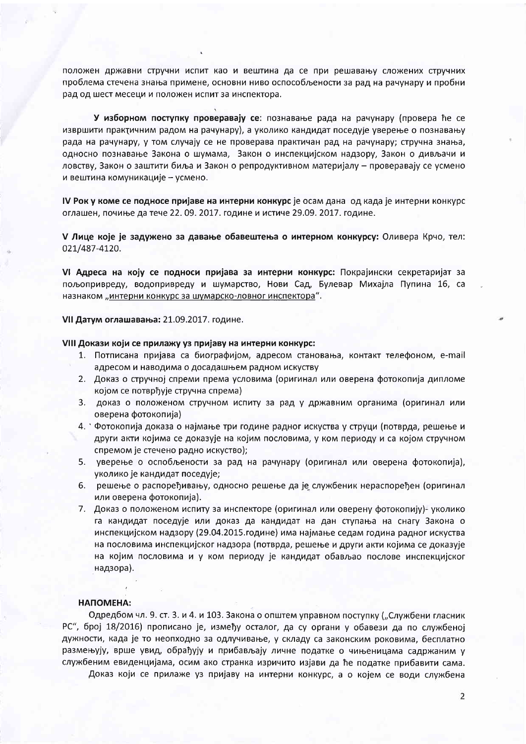положен државни стручни испит као и вештина да се при решавању сложених стручних проблема стечена знања примене, основни ниво оспособљености за рад на рачунару и пробни рад од шест месеци и положен испит за инспектора.

У изборном поступку проверавају се: познавање рада на рачунару (провера ће се извршити практичним радом на рачунару), а уколико кандидат поседује уверење о познавању рада на рачунару, у том случају се не проверава практичан рад на рачунару; стручна знања, односно познавање Закона о шумама, Закон о инспекцијском надзору, Закон о дивљачи и ловству, Закон о заштити биља и Закон о репродуктивном материјалу – проверавају се усмено и вештина комуникације - усмено.

IV Рок у коме се подносе пријаве на интерни конкурс је осам дана од када је интерни конкурс оглашен, почиње да тече 22. 09. 2017. године и истиче 29.09. 2017. године.

V Лице које је задужено за давање обавештења о интерном конкурсу: Оливера Крчо, тел: 021/487-4120.

VI Адреса на коју се подноси пријава за интерни конкурс: Покрајински секретаријат за пољопривреду, водопривреду и шумарство, Нови Сад, Булевар Михајла Пупина 16, са назнаком "интерни конкурс за шумарско-ловног инспектора".

VII Датум оглашавања: 21.09.2017. године.

## VIII Докази који се прилажу уз пријаву на интерни конкурс:

- 1. Потписана пријава са биографијом, адресом становања, контакт телефоном, e-mail адресом и наводима о досадашњем радном искуству
- 2. Доказ о стручној спреми према условима (оригинал или оверена фотокопија дипломе којом се потврђује стручна спрема)
- 3. доказ о положеном стручном испиту за рад у државним органима (оригинал или оверена фотокопија)
- 4. О Фотокопија доказа о најмање три године радног искуства у струци (потврда, решење и други акти којима се доказује на којим пословима, у ком периоду и са којом стручном спремом је стечено радно искуство);
- 5. уверење о оспобљености за рад на рачунару (оригинал или оверена фотокопија), уколико је кандидат поседује;
- 6. решење о распоређивању, односно решење да је службеник нераспоређен (оригинал или оверена фотокопија).
- 7. Доказ о положеном испиту за инспекторе (оригинал или оверену фотокопију)- уколико га кандидат поседује или доказ да кандидат на дан ступања на снагу Закона о инспекцијском надзору (29.04.2015.године) има најмање седам година радног искуства на пословима инспекцијског надзора (потврда, решење и други акти којима се доказује на којим пословима и у ком периоду је кандидат обављао послове инспекцијског надзора).

#### НАПОМЕНА:

Одредбом чл. 9. ст. 3. и 4. и 103. Закона о општем управном поступку ("Службени гласник РС", број 18/2016) прописано је, између осталог, да су органи у обавези да по службеној дужности, када је то неопходно за одлучивање, у складу са законским роковима, бесплатно размењују, врше увид, обрађују и прибављају личне податке о чињеницама садржаним у службеним евиденцијама, осим ако странка изричито изјави да ће податке прибавити сама.

Доказ који се прилаже уз пријаву на интерни конкурс, а о којем се води службена